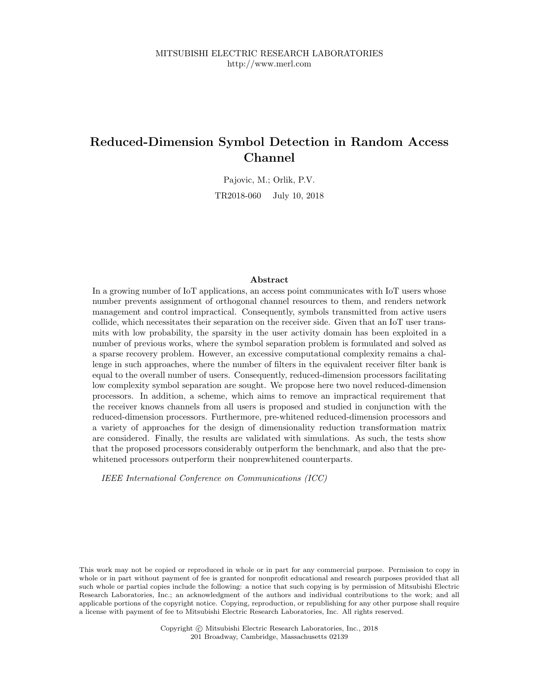# Reduced-Dimension Symbol Detection in Random Access Channel

Pajovic, M.; Orlik, P.V. TR2018-060 July 10, 2018

#### Abstract

In a growing number of IoT applications, an access point communicates with IoT users whose number prevents assignment of orthogonal channel resources to them, and renders network management and control impractical. Consequently, symbols transmitted from active users collide, which necessitates their separation on the receiver side. Given that an IoT user transmits with low probability, the sparsity in the user activity domain has been exploited in a number of previous works, where the symbol separation problem is formulated and solved as a sparse recovery problem. However, an excessive computational complexity remains a challenge in such approaches, where the number of filters in the equivalent receiver filter bank is equal to the overall number of users. Consequently, reduced-dimension processors facilitating low complexity symbol separation are sought. We propose here two novel reduced-dimension processors. In addition, a scheme, which aims to remove an impractical requirement that the receiver knows channels from all users is proposed and studied in conjunction with the reduced-dimension processors. Furthermore, pre-whitened reduced-dimension processors and a variety of approaches for the design of dimensionality reduction transformation matrix are considered. Finally, the results are validated with simulations. As such, the tests show that the proposed processors considerably outperform the benchmark, and also that the prewhitened processors outperform their nonprewhitened counterparts.

IEEE International Conference on Communications (ICC)

This work may not be copied or reproduced in whole or in part for any commercial purpose. Permission to copy in whole or in part without payment of fee is granted for nonprofit educational and research purposes provided that all such whole or partial copies include the following: a notice that such copying is by permission of Mitsubishi Electric Research Laboratories, Inc.; an acknowledgment of the authors and individual contributions to the work; and all applicable portions of the copyright notice. Copying, reproduction, or republishing for any other purpose shall require a license with payment of fee to Mitsubishi Electric Research Laboratories, Inc. All rights reserved.

> Copyright  $\odot$  Mitsubishi Electric Research Laboratories, Inc., 2018 201 Broadway, Cambridge, Massachusetts 02139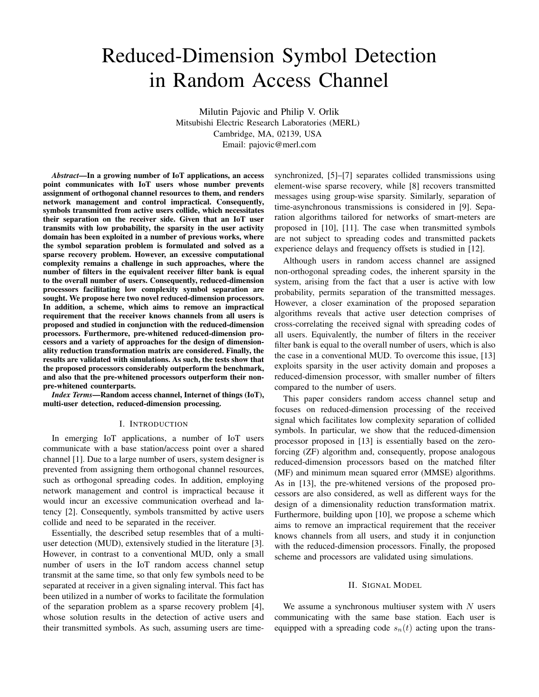# Reduced-Dimension Symbol Detection in Random Access Channel

Milutin Pajovic and Philip V. Orlik Mitsubishi Electric Research Laboratories (MERL) Cambridge, MA, 02139, USA Email: pajovic@merl.com

*Abstract***—In a growing number of IoT applications, an access point communicates with IoT users whose number prevents assignment of orthogonal channel resources to them, and renders network management and control impractical. Consequently, symbols transmitted from active users collide, which necessitates their separation on the receiver side. Given that an IoT user transmits with low probability, the sparsity in the user activity domain has been exploited in a number of previous works, where the symbol separation problem is formulated and solved as a sparse recovery problem. However, an excessive computational complexity remains a challenge in such approaches, where the number of filters in the equivalent receiver filter bank is equal to the overall number of users. Consequently, reduced-dimension processors facilitating low complexity symbol separation are sought. We propose here two novel reduced-dimension processors. In addition, a scheme, which aims to remove an impractical requirement that the receiver knows channels from all users is proposed and studied in conjunction with the reduced-dimension processors. Furthermore, pre-whitened reduced-dimension processors and a variety of approaches for the design of dimensionality reduction transformation matrix are considered. Finally, the results are validated with simulations. As such, the tests show that the proposed processors considerably outperform the benchmark, and also that the pre-whitened processors outperform their nonpre-whitened counterparts.**

*Index Terms***—Random access channel, Internet of things (IoT), multi-user detection, reduced-dimension processing.**

# I. INTRODUCTION

In emerging IoT applications, a number of IoT users communicate with a base station/access point over a shared channel [1]. Due to a large number of users, system designer is prevented from assigning them orthogonal channel resources, such as orthogonal spreading codes. In addition, employing network management and control is impractical because it would incur an excessive communication overhead and latency [2]. Consequently, symbols transmitted by active users collide and need to be separated in the receiver.

Essentially, the described setup resembles that of a multiuser detection (MUD), extensively studied in the literature [3]. However, in contrast to a conventional MUD, only a small number of users in the IoT random access channel setup transmit at the same time, so that only few symbols need to be separated at receiver in a given signaling interval. This fact has been utilized in a number of works to facilitate the formulation of the separation problem as a sparse recovery problem [4], whose solution results in the detection of active users and their transmitted symbols. As such, assuming users are timesynchronized, [5]–[7] separates collided transmissions using element-wise sparse recovery, while [8] recovers transmitted messages using group-wise sparsity. Similarly, separation of time-asynchronous transmissions is considered in [9]. Separation algorithms tailored for networks of smart-meters are proposed in [10], [11]. The case when transmitted symbols are not subject to spreading codes and transmitted packets experience delays and frequency offsets is studied in [12].

Although users in random access channel are assigned non-orthogonal spreading codes, the inherent sparsity in the system, arising from the fact that a user is active with low probability, permits separation of the transmitted messages. However, a closer examination of the proposed separation algorithms reveals that active user detection comprises of cross-correlating the received signal with spreading codes of all users. Equivalently, the number of filters in the receiver filter bank is equal to the overall number of users, which is also the case in a conventional MUD. To overcome this issue, [13] exploits sparsity in the user activity domain and proposes a reduced-dimension processor, with smaller number of filters compared to the number of users.

This paper considers random access channel setup and focuses on reduced-dimension processing of the received signal which facilitates low complexity separation of collided symbols. In particular, we show that the reduced-dimension processor proposed in [13] is essentially based on the zeroforcing (ZF) algorithm and, consequently, propose analogous reduced-dimension processors based on the matched filter (MF) and minimum mean squared error (MMSE) algorithms. As in [13], the pre-whitened versions of the proposed processors are also considered, as well as different ways for the design of a dimensionality reduction transformation matrix. Furthermore, building upon [10], we propose a scheme which aims to remove an impractical requirement that the receiver knows channels from all users, and study it in conjunction with the reduced-dimension processors. Finally, the proposed scheme and processors are validated using simulations.

#### II. SIGNAL MODEL

We assume a synchronous multiuser system with  $N$  users communicating with the same base station. Each user is equipped with a spreading code  $s_n(t)$  acting upon the trans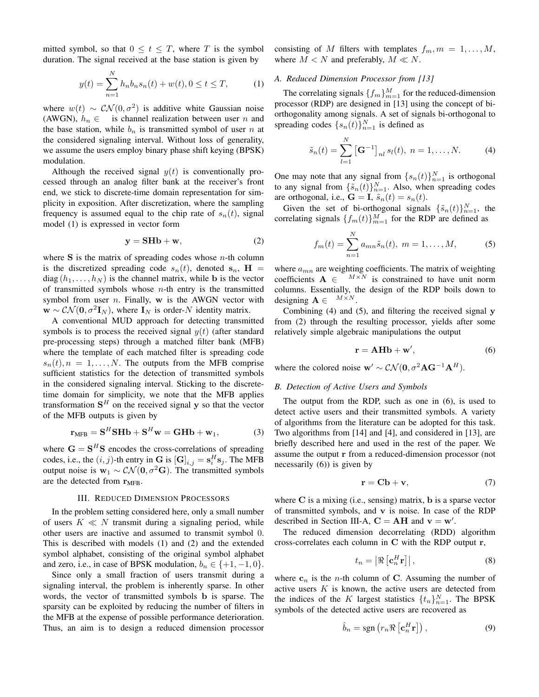mitted symbol, so that  $0 \le t \le T$ , where T is the symbol duration. The signal received at the base station is given by

 $\lambda$ r

$$
y(t) = \sum_{n=1}^{N} h_n b_n s_n(t) + w(t), 0 \le t \le T,
$$
 (1)

where  $w(t) \sim \mathcal{CN}(0, \sigma^2)$  is additive white Gaussian noise (AWGN),  $h_n \in$  is channel realization between user *n* and the base station, while  $b_n$  is transmitted symbol of user n at the considered signaling interval. Without loss of generality, we assume the users employ binary phase shift keying (BPSK) modulation.

Although the received signal  $y(t)$  is conventionally processed through an analog filter bank at the receiver's front end, we stick to discrete-time domain representation for simplicity in exposition. After discretization, where the sampling frequency is assumed equal to the chip rate of  $s_n(t)$ , signal model (1) is expressed in vector form

$$
y = SHb + w,\t(2)
$$

where  $S$  is the matrix of spreading codes whose  $n$ -th column is the discretized spreading code  $s_n(t)$ , denoted  $s_n$ ,  $H =$ diag  $(h_1, \ldots, h_N)$  is the channel matrix, while **b** is the vector of transmitted symbols whose  $n$ -th entry is the transmitted symbol from user  $n$ . Finally,  $w$  is the AWGN vector with  $\mathbf{w} \sim \mathcal{CN}(\mathbf{0}, \sigma^2 \mathbf{I}_N)$ , where  $\mathbf{I}_N$  is order-N identity matrix.

A conventional MUD approach for detecting transmitted symbols is to process the received signal  $y(t)$  (after standard pre-processing steps) through a matched filter bank (MFB) where the template of each matched filter is spreading code  $s_n(t), n = 1, \ldots, N$ . The outputs from the MFB comprise sufficient statistics for the detection of transmitted symbols in the considered signaling interval. Sticking to the discretetime domain for simplicity, we note that the MFB applies transformation  $S<sup>H</sup>$  on the received signal y so that the vector of the MFB outputs is given by

$$
\mathbf{r}_{\text{MFB}} = \mathbf{S}^H \mathbf{S} \mathbf{H} \mathbf{b} + \mathbf{S}^H \mathbf{w} = \mathbf{G} \mathbf{H} \mathbf{b} + \mathbf{w}_1, \tag{3}
$$

where  $\mathbf{G} = \mathbf{S}^H \mathbf{S}$  encodes the cross-correlations of spreading codes, i.e., the  $(i, j)$ -th entry in **G** is  $[\mathbf{G}]_{i,j} = \mathbf{s}_i^H \mathbf{s}_j$ . The MFB output noise is  $w_1$  ∼  $\mathcal{CN}(0, \sigma^2\mathbf{G})$ . The transmitted symbols are the detected from  $r_{\text{MFB}}$ .

# III. REDUCED DIMENSION PROCESSORS

In the problem setting considered here, only a small number of users  $K \ll N$  transmit during a signaling period, while other users are inactive and assumed to transmit symbol 0. This is described with models (1) and (2) and the extended symbol alphabet, consisting of the original symbol alphabet and zero, i.e., in case of BPSK modulation,  $b_n \in \{+1, -1, 0\}$ .

Since only a small fraction of users transmit during a signaling interval, the problem is inherently sparse. In other words, the vector of transmitted symbols **b** is sparse. The sparsity can be exploited by reducing the number of filters in the MFB at the expense of possible performance deterioration. Thus, an aim is to design a reduced dimension processor consisting of M filters with templates  $f_m, m = 1, \ldots, M$ , where  $M < N$  and preferably,  $M \ll N$ .

# *A. Reduced Dimension Processor from [13]*

The correlating signals  $\{f_m\}_{m=1}^M$  for the reduced-dimension processor (RDP) are designed in [13] using the concept of biorthogonality among signals. A set of signals bi-orthogonal to spreading codes  $\{s_n(t)\}_{n=1}^N$  is defined as

$$
\tilde{s}_n(t) = \sum_{l=1}^N \left[ \mathbf{G}^{-1} \right]_{nl} s_l(t), \ n = 1, \dots, N. \tag{4}
$$

One may note that any signal from  $\{s_n(t)\}_{n=1}^N$  is orthogonal to any signal from  $\{\tilde{s}_n(t)\}_{n=1}^N$ . Also, when spreading codes are orthogonal, i.e.,  $\mathbf{G} = \mathbf{I}$ ,  $\tilde{s}_n(t) = s_n(t)$ .

Given the set of bi-orthogonal signals  $\{\tilde{s}_n(t)\}_{n=1}^N$ , the correlating signals  $\{f_m(t)\}_{m=1}^M$  for the RDP are defined as

$$
f_m(t) = \sum_{n=1}^{N} a_{mn} \tilde{s}_n(t), \ m = 1, \dots, M,
$$
 (5)

where  $a_{mn}$  are weighting coefficients. The matrix of weighting coefficients  $A \in M \times N$  is constrained to have unit norm columns. Essentially, the design of the RDP boils down to designing  $\mathbf{A} \in$   $^{M \times N}$ .

Combining (4) and (5), and filtering the received signal **y** from (2) through the resulting processor, yields after some relatively simple algebraic manipulations the output

$$
\mathbf{r} = \mathbf{A}\mathbf{H}\mathbf{b} + \mathbf{w}',\tag{6}
$$

where the colored noise  $\mathbf{w}' \sim \mathcal{CN}(\mathbf{0}, \sigma^2 \mathbf{A} \mathbf{G}^{-1} \mathbf{A}^H)$ .

#### *B. Detection of Active Users and Symbols*

The output from the RDP, such as one in (6), is used to detect active users and their transmitted symbols. A variety of algorithms from the literature can be adopted for this task. Two algorithms from [14] and [4], and considered in [13], are briefly described here and used in the rest of the paper. We assume the output **r** from a reduced-dimension processor (not necessarily (6)) is given by

$$
\mathbf{r} = \mathbf{C}\mathbf{b} + \mathbf{v},\tag{7}
$$

where **C** is a mixing (i.e., sensing) matrix, **b** is a sparse vector of transmitted symbols, and **v** is noise. In case of the RDP described in Section III-A,  $C = AH$  and  $v = w'$ .

The reduced dimension decorrelating (RDD) algorithm cross-correlates each column in **C** with the RDP output **r**,

$$
t_n = \left| \Re \left[ \mathbf{c}_n^H \mathbf{r} \right] \right|,\tag{8}
$$

where  $c_n$  is the *n*-th column of C. Assuming the number of active users  $K$  is known, the active users are detected from the indices of the K largest statistics  $\{t_n\}_{n=1}^N$ . The BPSK symbols of the detected active users are recovered as

$$
\hat{b}_n = \text{sgn}\left(r_n \Re\left[\mathbf{c}_n^H \mathbf{r}\right]\right),\tag{9}
$$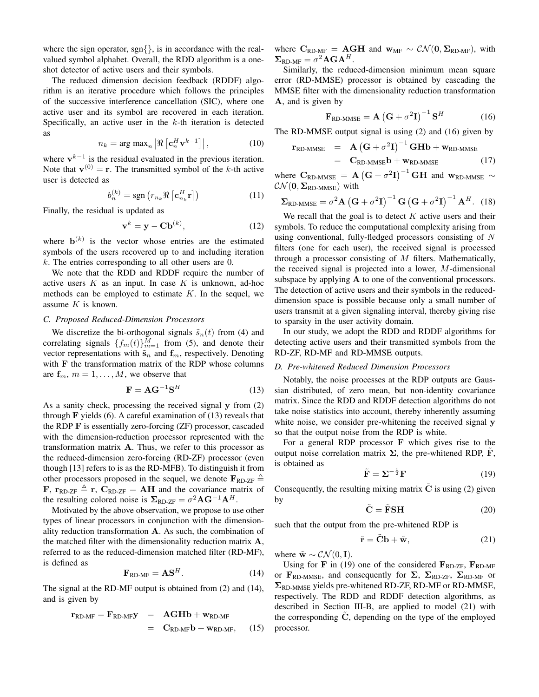where the sign operator, sgn $\{\}$ , is in accordance with the realvalued symbol alphabet. Overall, the RDD algorithm is a oneshot detector of active users and their symbols.

The reduced dimension decision feedback (RDDF) algorithm is an iterative procedure which follows the principles of the successive interference cancellation (SIC), where one active user and its symbol are recovered in each iteration. Specifically, an active user in the  $k$ -th iteration is detected as

$$
n_k = \arg \max_n \left| \Re \left[ \mathbf{c}_n^H \mathbf{v}^{k-1} \right] \right|,\tag{10}
$$

where  $\mathbf{v}^{k-1}$  is the residual evaluated in the previous iteration. Note that  $\mathbf{v}^{(0)} = \mathbf{r}$ . The transmitted symbol of the k-th active user is detected as

$$
b_n^{(k)} = \text{sgn}\left(r_{n_k} \Re\left[\mathbf{c}_{n_k}^H \mathbf{r}\right]\right) \tag{11}
$$

Finally, the residual is updated as

$$
\mathbf{v}^k = \mathbf{y} - \mathbf{C}\mathbf{b}^{(k)},\tag{12}
$$

where  $\mathbf{b}^{(k)}$  is the vector whose entries are the estimated symbols of the users recovered up to and including iteration  $k$ . The entries corresponding to all other users are 0.

We note that the RDD and RDDF require the number of active users  $K$  as an input. In case  $K$  is unknown, ad-hoc methods can be employed to estimate  $K$ . In the sequel, we assume  $K$  is known.

#### *C. Proposed Reduced-Dimension Processors*

We discretize the bi-orthogonal signals  $\tilde{s}_n(t)$  from (4) and correlating signals  $\{f_m(t)\}_{m=1}^M$  from (5), and denote their vector representations with  $\tilde{\mathbf{s}}_n$  and  $\mathbf{f}_m$ , respectively. Denoting with **F** the transformation matrix of the RDP whose columns are  $f_m$ ,  $m = 1, \ldots, M$ , we observe that

$$
\mathbf{F} = \mathbf{A}\mathbf{G}^{-1}\mathbf{S}^H \tag{13}
$$

As a sanity check, processing the received signal **y** from (2) through **F** yields (6). A careful examination of (13) reveals that the RDP **F** is essentially zero-forcing (ZF) processor, cascaded with the dimension-reduction processor represented with the transformation matrix **A**. Thus, we refer to this processor as the reduced-dimension zero-forcing (RD-ZF) processor (even though [13] refers to is as the RD-MFB). To distinguish it from other processors proposed in the sequel, we denote  $\mathbf{F}_{\text{RD-ZF}} \triangleq$ **F**,  $\mathbf{r}_{\text{RD-ZF}} \triangleq \mathbf{r}$ ,  $\mathbf{C}_{\text{RD-ZF}} = \mathbf{AH}$  and the covariance matrix of the resulting colored noise is  $\Sigma_{\text{RD-ZF}} = \sigma^2 \mathbf{A} \mathbf{G}^{-1} \mathbf{A}^H$ .

Motivated by the above observation, we propose to use other types of linear processors in conjunction with the dimensionality reduction transformation **A**. As such, the combination of the matched filter with the dimensionality reduction matrix **A**, referred to as the reduced-dimension matched filter (RD-MF), is defined as

$$
\mathbf{F}_{\text{RD-MF}} = \mathbf{A}\mathbf{S}^H. \tag{14}
$$

The signal at the RD-MF output is obtained from (2) and (14), and is given by

$$
\mathbf{r}_{\text{RD-MF}} = \mathbf{F}_{\text{RD-MF}} \mathbf{y} = \mathbf{A} \mathbf{G} \mathbf{H} \mathbf{b} + \mathbf{w}_{\text{RD-MF}} \n= \mathbf{C}_{\text{RD-MF}} \mathbf{b} + \mathbf{w}_{\text{RD-MF}}, \quad (15)
$$

where  $C_{\text{RD-MF}} = AGH$  and  $w_{\text{MF}} \sim \mathcal{CN}(0, \Sigma_{\text{RD-MF}})$ , with  $\Sigma_{\text{RD-MF}} = \sigma^2 \mathbf{A} \mathbf{G} \mathbf{A}^H.$ 

Similarly, the reduced-dimension minimum mean square error (RD-MMSE) processor is obtained by cascading the MMSE filter with the dimensionality reduction transformation **A**, and is given by

$$
\mathbf{F}_{\text{RD-MMSE}} = \mathbf{A} \left( \mathbf{G} + \sigma^2 \mathbf{I} \right)^{-1} \mathbf{S}^H \tag{16}
$$

The RD-MMSE output signal is using (2) and (16) given by

$$
\begin{array}{rcl}\n\mathbf{r}_{\text{RD-MMSE}} & = & \mathbf{A} \left( \mathbf{G} + \sigma^2 \mathbf{I} \right)^{-1} \mathbf{G} \mathbf{H} \mathbf{b} + \mathbf{w}_{\text{RD-MMSE}} \\
& = & \mathbf{C}_{\text{RD-MMSE}} \mathbf{b} + \mathbf{w}_{\text{RD-MMSE}}\n\end{array} \tag{17}
$$

where  $C_{\text{RD-MMSE}} = A (G + \sigma^2 I)^{-1} GH$  and  $w_{\text{RD-MMSE}} \sim$  $CN(\mathbf{0}, \Sigma_{\text{RD-MMSE}})$  with

$$
\Sigma_{\text{RD-MMSE}} = \sigma^2 \mathbf{A} \left( \mathbf{G} + \sigma^2 \mathbf{I} \right)^{-1} \mathbf{G} \left( \mathbf{G} + \sigma^2 \mathbf{I} \right)^{-1} \mathbf{A}^H. (18)
$$

We recall that the goal is to detect  $K$  active users and their symbols. To reduce the computational complexity arising from using conventional, fully-fledged processors consisting of  $N$ filters (one for each user), the received signal is processed through a processor consisting of  $M$  filters. Mathematically, the received signal is projected into a lower,  $M$ -dimensional subspace by applying **A** to one of the conventional processors. The detection of active users and their symbols in the reduceddimension space is possible because only a small number of users transmit at a given signaling interval, thereby giving rise to sparsity in the user activity domain.

In our study, we adopt the RDD and RDDF algorithms for detecting active users and their transmitted symbols from the RD-ZF, RD-MF and RD-MMSE outputs.

# *D. Pre-whitened Reduced Dimension Processors*

Notably, the noise processes at the RDP outputs are Gaussian distributed, of zero mean, but non-identity covariance matrix. Since the RDD and RDDF detection algorithms do not take noise statistics into account, thereby inherently assuming white noise, we consider pre-whitening the received signal **y** so that the output noise from the RDP is white.

For a general RDP processor **F** which gives rise to the output noise correlation matrix  $Σ$ , the pre-whitened RDP, **,** is obtained as

$$
\tilde{\mathbf{F}} = \Sigma^{-\frac{1}{2}} \mathbf{F} \tag{19}
$$

Consequently, the resulting mixing matrix  $C$  is using (2) given by

$$
\tilde{\mathbf{C}} = \tilde{\mathbf{F}} \mathbf{S} \mathbf{H} \tag{20}
$$

such that the output from the pre-whitened RDP is

$$
\tilde{\mathbf{r}} = \tilde{\mathbf{C}} \mathbf{b} + \tilde{\mathbf{w}},\tag{21}
$$

where  $\tilde{\mathbf{w}} \sim \mathcal{CN}(0, \mathbf{I}).$ 

Using for  $\bf{F}$  in (19) one of the considered  $\bf{F}_{RD-ZF}$ ,  $\bf{F}_{RD-MF}$ or  $\mathbf{F}_{\text{RD-MMSE}}$ , and consequently for  $\Sigma$ ,  $\Sigma_{\text{RD-ZF}}$ ,  $\Sigma_{\text{RD-MF}}$  or **Σ**RD-MMSE yields pre-whitened RD-ZF, RD-MF or RD-MMSE, respectively. The RDD and RDDF detection algorithms, as described in Section III-B, are applied to model (21) with the corresponding  $\tilde{C}$ , depending on the type of the employed processor.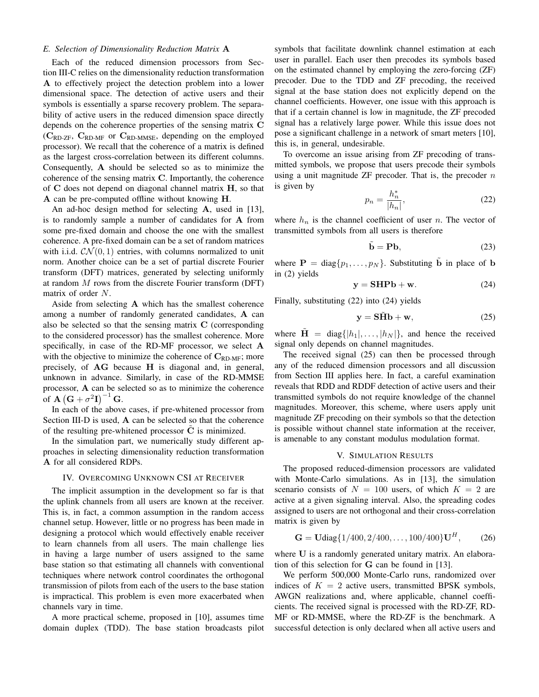## *E. Selection of Dimensionality Reduction Matrix* **A**

Each of the reduced dimension processors from Section III-C relies on the dimensionality reduction transformation **A** to effectively project the detection problem into a lower dimensional space. The detection of active users and their symbols is essentially a sparse recovery problem. The separability of active users in the reduced dimension space directly depends on the coherence properties of the sensing matrix **C** (**C**RD-ZF, **C**RD-MF or **C**RD-MMSE, depending on the employed processor). We recall that the coherence of a matrix is defined as the largest cross-correlation between its different columns. Consequently, **A** should be selected so as to minimize the coherence of the sensing matrix **C**. Importantly, the coherence of **C** does not depend on diagonal channel matrix **H**, so that **A** can be pre-computed offline without knowing **H**.

An ad-hoc design method for selecting **A**, used in [13], is to randomly sample a number of candidates for **A** from some pre-fixed domain and choose the one with the smallest coherence. A pre-fixed domain can be a set of random matrices with i.i.d.  $\mathcal{CN}(0, 1)$  entries, with columns normalized to unit norm. Another choice can be a set of partial discrete Fourier transform (DFT) matrices, generated by selecting uniformly at random  $M$  rows from the discrete Fourier transform (DFT) matrix of order  $N$ .

Aside from selecting **A** which has the smallest coherence among a number of randomly generated candidates, **A** can also be selected so that the sensing matrix **C** (corresponding to the considered processor) has the smallest coherence. More specifically, in case of the RD-MF processor, we select **A** with the objective to minimize the coherence of  $C_{RD-MF}$ ; more precisely, of **AG** because **H** is diagonal and, in general, unknown in advance. Similarly, in case of the RD-MMSE processor, **A** can be selected so as to minimize the coherence of  $\mathbf{A} \left( \mathbf{G} + \sigma^2 \mathbf{I} \right)^{-1} \mathbf{G}$ .

In each of the above cases, if pre-whitened processor from Section III-D is used, **A** can be selected so that the coherence of the resulting pre-whitened processor C is minimized.

In the simulation part, we numerically study different approaches in selecting dimensionality reduction transformation **A** for all considered RDPs.

#### IV. OVERCOMING UNKNOWN CSI AT RECEIVER

The implicit assumption in the development so far is that the uplink channels from all users are known at the receiver. This is, in fact, a common assumption in the random access channel setup. However, little or no progress has been made in designing a protocol which would effectively enable receiver to learn channels from all users. The main challenge lies in having a large number of users assigned to the same base station so that estimating all channels with conventional techniques where network control coordinates the orthogonal transmission of pilots from each of the users to the base station is impractical. This problem is even more exacerbated when channels vary in time.

A more practical scheme, proposed in [10], assumes time domain duplex (TDD). The base station broadcasts pilot symbols that facilitate downlink channel estimation at each user in parallel. Each user then precodes its symbols based on the estimated channel by employing the zero-forcing (ZF) precoder. Due to the TDD and ZF precoding, the received signal at the base station does not explicitly depend on the channel coefficients. However, one issue with this approach is that if a certain channel is low in magnitude, the ZF precoded signal has a relatively large power. While this issue does not pose a significant challenge in a network of smart meters [10], this is, in general, undesirable.

To overcome an issue arising from ZF precoding of transmitted symbols, we propose that users precode their symbols using a unit magnitude ZF precoder. That is, the precoder  $n$ is given by

$$
p_n = \frac{h_n^*}{|h_n|},\tag{22}
$$

where  $h_n$  is the channel coefficient of user n. The vector of transmitted symbols from all users is therefore

$$
\tilde{\mathbf{b}} = \mathbf{P}\mathbf{b},\tag{23}
$$

where  $P = diag\{p_1, \ldots, p_N\}$ . Substituting  $\tilde{b}$  in place of b in (2) yields

$$
y = SHPb + w.
$$
 (24)

Finally, substituting (22) into (24) yields

$$
y = S\tilde{H}b + w,\t(25)
$$

where  $\mathbf{H} = \text{diag}\{|h_1|, \ldots, |h_N|\}$ , and hence the received signal only depends on channel magnitudes.

The received signal (25) can then be processed through any of the reduced dimension processors and all discussion from Section III applies here. In fact, a careful examination reveals that RDD and RDDF detection of active users and their transmitted symbols do not require knowledge of the channel magnitudes. Moreover, this scheme, where users apply unit magnitude ZF precoding on their symbols so that the detection is possible without channel state information at the receiver, is amenable to any constant modulus modulation format.

# V. SIMULATION RESULTS

The proposed reduced-dimension processors are validated with Monte-Carlo simulations. As in [13], the simulation scenario consists of  $N = 100$  users, of which  $K = 2$  are active at a given signaling interval. Also, the spreading codes assigned to users are not orthogonal and their cross-correlation matrix is given by

$$
G = Udiag\{1/400, 2/400, \dots, 100/400\}U^H, \qquad (26)
$$

where **U** is a randomly generated unitary matrix. An elaboration of this selection for **G** can be found in [13].

We perform 500,000 Monte-Carlo runs, randomized over indices of  $K = 2$  active users, transmitted BPSK symbols, AWGN realizations and, where applicable, channel coefficients. The received signal is processed with the RD-ZF, RD-MF or RD-MMSE, where the RD-ZF is the benchmark. A successful detection is only declared when all active users and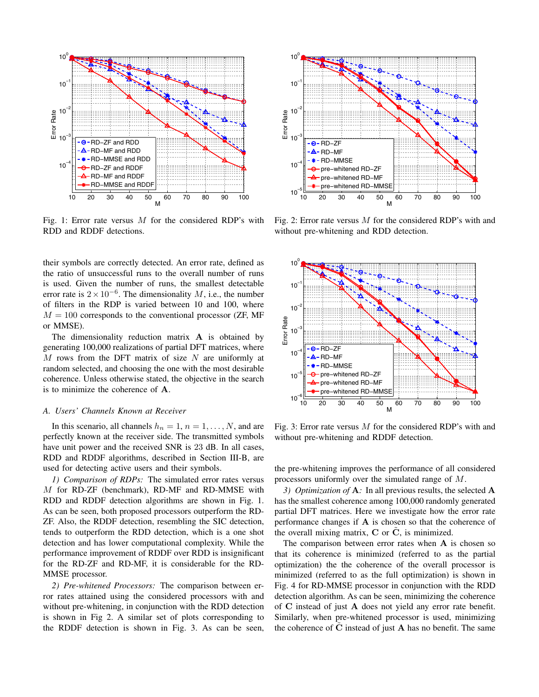

Fig. 1: Error rate versus  $M$  for the considered RDP's with RDD and RDDF detections.

their symbols are correctly detected. An error rate, defined as the ratio of unsuccessful runs to the overall number of runs is used. Given the number of runs, the smallest detectable error rate is  $2 \times 10^{-6}$ . The dimensionality M, i.e., the number of filters in the RDP is varied between 10 and 100, where  $M = 100$  corresponds to the conventional processor (ZF, MF) or MMSE).

The dimensionality reduction matrix **A** is obtained by generating 100,000 realizations of partial DFT matrices, where  $M$  rows from the DFT matrix of size  $N$  are uniformly at random selected, and choosing the one with the most desirable coherence. Unless otherwise stated, the objective in the search is to minimize the coherence of **A**.

#### *A. Users' Channels Known at Receiver*

In this scenario, all channels  $h_n = 1, n = 1, \ldots, N$ , and are perfectly known at the receiver side. The transmitted symbols have unit power and the received SNR is 23 dB. In all cases, RDD and RDDF algorithms, described in Section III-B, are used for detecting active users and their symbols.

*1) Comparison of RDPs:* The simulated error rates versus  $M$  for RD-ZF (benchmark), RD-MF and RD-MMSE with RDD and RDDF detection algorithms are shown in Fig. 1. As can be seen, both proposed processors outperform the RD-ZF. Also, the RDDF detection, resembling the SIC detection, tends to outperform the RDD detection, which is a one shot detection and has lower computational complexity. While the performance improvement of RDDF over RDD is insignificant for the RD-ZF and RD-MF, it is considerable for the RD-MMSE processor.

*2) Pre-whitened Processors:* The comparison between error rates attained using the considered processors with and without pre-whitening, in conjunction with the RDD detection is shown in Fig 2. A similar set of plots corresponding to the RDDF detection is shown in Fig. 3. As can be seen,



Fig. 2: Error rate versus  $M$  for the considered RDP's with and without pre-whitening and RDD detection.



Fig. 3: Error rate versus  $M$  for the considered RDP's with and without pre-whitening and RDDF detection.

the pre-whitening improves the performance of all considered processors uniformly over the simulated range of  $M$ .

*3) Optimization of* **A***:* In all previous results, the selected **A** has the smallest coherence among 100,000 randomly generated partial DFT matrices. Here we investigate how the error rate performance changes if **A** is chosen so that the coherence of the overall mixing matrix,  $C$  or  $\tilde{C}$ , is minimized.

The comparison between error rates when **A** is chosen so that its coherence is minimized (referred to as the partial optimization) the the coherence of the overall processor is minimized (referred to as the full optimization) is shown in Fig. 4 for RD-MMSE processor in conjunction with the RDD detection algorithm. As can be seen, minimizing the coherence of **C** instead of just **A** does not yield any error rate benefit. Similarly, when pre-whitened processor is used, minimizing the coherence of  $\tilde{C}$  instead of just  $\tilde{A}$  has no benefit. The same